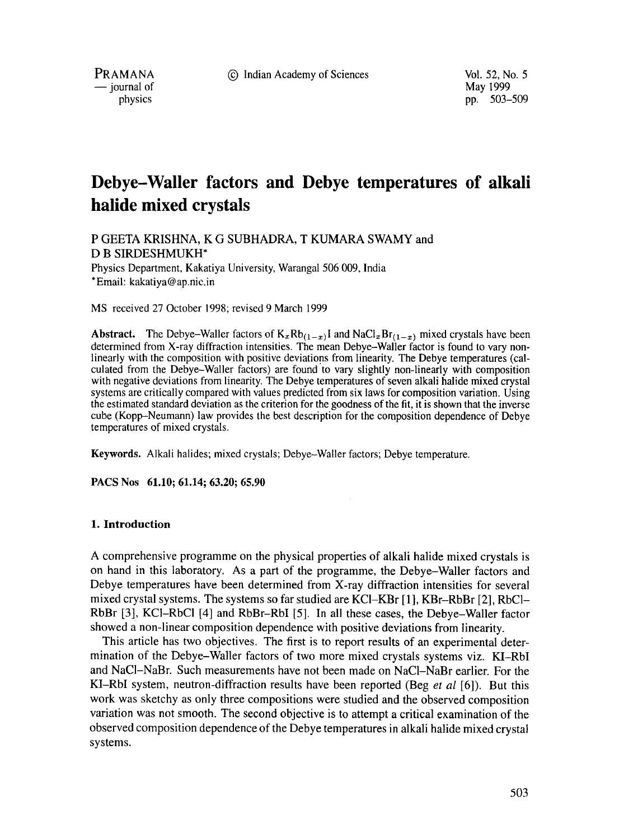PRAMANA <sup>9</sup> **C** Indian Academy of Sciences Vol. 52, No. 5<br>
999 May 1999

 $-$  journal of physics

pp. 503-509

# **Debye-Waller factors and Debye temperatures of alkali halide mixed crystals**

P GEETA KRISHNA, K G SUBHADRA, T KUMARA SWAMY and D B SIRDESHMUKH\*

Physics Department, Kakatiya University, Warangal 506 009, India \*Email: kakatiya@ap.nic.in

MS received 27 October 1998; revised 9 March 1999

**Abstract.** The Debye-Waller factors of  $K_xRb_{(1-x)}$  and NaCl<sub>x</sub>Br<sub>(1-x)</sub> mixed crystals have been determined from X-ray diffraction intensities. The mean Debye-Waller factor is found to vary nonlinearly with the composition with positive deviations from linearity. The Debye temperatures (calculated from the Debye-Waller factors) are found to vary slightly non-linearly with composition with negative deviations from linearity. The Debye temperatures of seven alkali halide mixed crystal systems are critically compared with values predicted from six laws for composition variation. Using the estimated standard deviation as the criterion for the goodness of the fit, it is shown that the inverse cube (Kopp-Neumann) law provides the best description for the composition dependence of Debye temperatures of mixed crystals.

**Keywords.** Alkali halides; mixed crystals; Debye-Waller factors; Debye temperature.

**PACS Nos 61.10; 61.14; 63.20; 65.90** 

#### **1. Introduction**

A comprehensive programme on the physical properties of alkali halide mixed crystals is on hand in this laboratory. As a part of the programme, the Debye-Waller factors and Debye temperatures have been determined from X-ray diffraction intensities for several mixed crystal systems. The systems so far studied are KC1-KBr [ 1 ], KBr-RbBr [2], RbCI-RbBr [3], KCI-RbCI [4] and RbBr-RbI [5]. In all these cases, the Debye-Waller factor showed a non-linear composition dependence with positive deviations from linearity.

This article has two objectives. The first is to report results of an experimental determination of the Debye-Waller factors of two more mixed crystals systems viz. KI-RbI and NaC1-NaBr. Such measurements have not been made on NaC1-NaBr earlier. For the KI-RbI system, neutron-diffraction results have been reported (Beg *et al* [6]). But this work was sketchy as only three compositions were studied and the observed composition variation was not smooth. The second objective is to attempt a critical examination of the observed composition dependence of the Debye temperatures in alkali halide mixed crystal systems.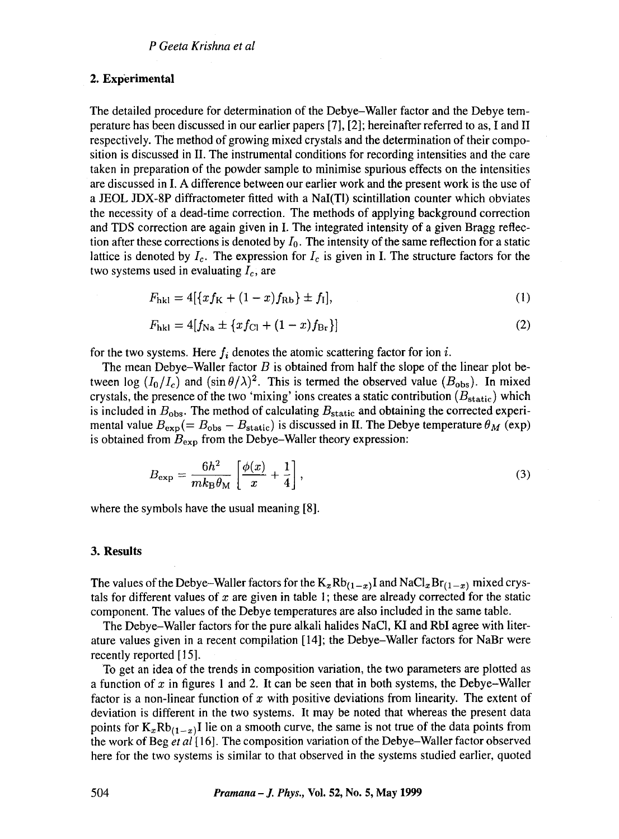# **2. Experimental**

The detailed procedure for determination of the Debye-Waller factor and the Debye temperature has been discussed in our earlier papers [7], [2]; hereinafter referred to as, I and II respectively. The method of growing mixed crystals and the determination of their composition is discussed in II. The instrumental conditions for recording intensities and the care taken in preparation of the powder sample to minimise spurious effects on the intensities are discussed in I. A difference between our earlier work and the present work is the use of a JEOL JDX-8P diffractometer fitted with a NaI(TI) scintillation counter which obviates the necessity of a dead-time correction. The methods of applying background correction and TDS correction are again given in I. The integrated intensity of a given Bragg reflection after these corrections is denoted by  $I_0$ . The intensity of the same reflection for a static lattice is denoted by  $I_c$ . The expression for  $I_c$  is given in I. The structure factors for the two systems used in evaluating  $I_c$ , are

$$
F_{hkl} = 4[\{xf_K + (1-x)f_{Rb}\} \pm f_l],
$$
 (1)

$$
F_{\text{hkl}} = 4[f_{\text{Na}} \pm \{xf_{\text{Cl}} + (1-x)f_{\text{Br}}\}]\tag{2}
$$

for the two systems. Here  $f_i$  denotes the atomic scattering factor for ion i.

The mean Debye-Waller factor  $B$  is obtained from half the slope of the linear plot between log  $(I_0/I_c)$  and  $(\sin \theta/\lambda)^2$ . This is termed the observed value ( $B_{obs}$ ). In mixed crystals, the presence of the two 'mixing' ions creates a static contribution  $(B_{\text{static}})$  which is included in  $B_{\text{obs}}$ . The method of calculating  $B_{\text{static}}$  and obtaining the corrected experimental value  $B_{\text{exp}} (= B_{\text{obs}} - B_{\text{static}})$  is discussed in II. The Debye temperature  $\theta_M$  (exp) is obtained from  $B_{\text{exp}}$  from the Debye-Waller theory expression:

$$
B_{\exp} = \frac{6h^2}{mk_B \theta_M} \left[ \frac{\phi(x)}{x} + \frac{1}{4} \right],\tag{3}
$$

where the symbols have the usual meaning [8].

#### **3. Results**

The values of the Debye-Waller factors for the  $K_xRb_{(1-x)}I$  and  $NaCl_xBr_{(1-x)}$  mixed crystals for different values of x are given in table 1; these are already corrected for the static component. The values of the Debye temperatures are also included in the same table.

The Debye-Waller factors for the pure alkali halides NaCI, KI and RbI agree with literature values given in a recent compilation [14]; the Debye-Waller factors for NaBr were recently reported [15].

To get an idea of the trends in composition variation, the two parameters are plotted as a function of x in figures 1 and 2. It can be seen that in both systems, the Debye-Waller factor is a non-linear function of x with positive deviations from linearity. The extent of deviation is different in the two systems. It may be noted that whereas the present data points for  $K_{x}Rb_{(1-x)}I$  lie on a smooth curve, the same is not true of the data points from the work of Beg *et al* [ 16]. The composition variation of the Debye-Waller factor observed here for the two systems is similar to that observed in the systems studied earlier, quoted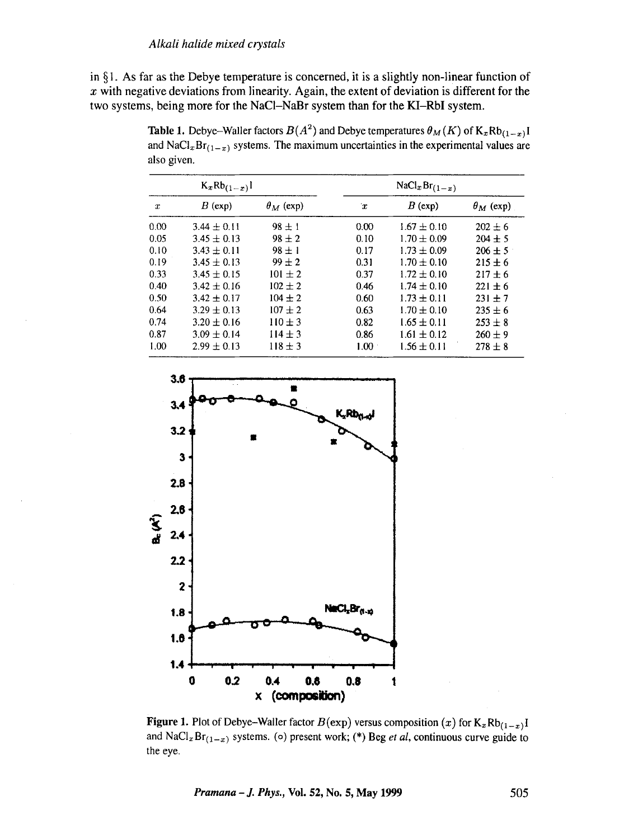also given.

in  $\S$ 1. As far as the Debye temperature is concerned, it is a slightly non-linear function of  $x$  with negative deviations from linearity. Again, the extent of deviation is different for the two systems, being more for the NaCI-NaBr system than for the KI-RbI system.

 $K_xRb_{(1-x)}$  1  $NaCl_xBr_{(1-x)}$  $x$  B (exp)  $\theta_M$  (exp)  $x$  B (exp)  $\theta_M$  (exp)  $0.00$   $3.44 \pm 0.11$   $98 \pm 1$   $0.00$   $1.67 \pm 0.10$   $202 \pm 6$ <br>  $0.05$   $3.45 \pm 0.13$   $98 \pm 2$   $0.10$   $1.70 \pm 0.09$   $204 \pm 5$  $0.05$   $3.45 \pm 0.13$   $98 \pm 2$  0.10  $1.70 \pm 0.09$   $204 \pm 5$ <br>  $0.10$   $3.43 \pm 0.11$   $98 \pm 1$  0.17  $1.73 \pm 0.09$   $206 \pm 5$  $98 \pm 1$ <br>  $99 \pm 2$ <br>  $0.17$ <br>  $1.73 \pm 0.09$ <br>  $1.70 \pm 0.10$ 0.19  $3.45 \pm 0.13$   $99 \pm 2$  0.31  $1.70 \pm 0.10$   $215 \pm 6$ <br>0.33  $3.45 \pm 0.15$   $101 \pm 2$  0.37  $1.72 \pm 0.10$   $217 \pm 6$ 0.33  $3.45 \pm 0.15$   $101 \pm 2$  0.37  $1.72 \pm 0.10$   $217 \pm 6$ <br>0.40  $3.42 \pm 0.16$   $102 \pm 2$  0.46  $1.74 \pm 0.10$   $221 \pm 6$  $1.74 \pm 0.10$   $221 \pm 6$ 0.50 3.42  $\pm$  0.17 104  $\pm$  2 0.60 1.73  $\pm$  0.11 231  $\pm$  7 0.64 3.29  $\pm$  0.13 107  $\pm$  2 0.63 1.70  $\pm$  0.10 235  $\pm$  6  $0.74$   $3.20 \pm 0.16$   $110 \pm 3$   $0.82$   $1.65 \pm 0.11$   $253 \pm 8$ <br>  $0.87$   $3.09 \pm 0.14$   $114 \pm 3$   $0.86$   $1.61 \pm 0.12$   $260 \pm 9$ 0.87  $3.09 \pm 0.14$   $114 \pm 3$  0.86<br>1.00  $2.99 \pm 0.13$   $118 \pm 3$  1.00  $1.99 \pm 0.13$   $118 \pm 3$  1.00  $1.56 \pm 0.11$   $278 \pm 8$ 

**Table 1.** Debye-Waller factors  $B(A^2)$  and Debye temperatures  $\theta_M(K)$  of  $K_x Rb_{(1-x)}$ I and NaCl<sub>x</sub>Br<sub>(1-x)</sub> systems. The maximum uncertainties in the experimental values are



Figure 1. Plot of Debye-Waller factor  $B(\exp)$  versus composition  $(x)$  for  $K_xRb_{(1-x)}I$ and NaCl<sub>x</sub> Br<sub>(1-x)</sub> systems. (o) present work; (\*) Beg *et al*, continuous curve guide to the eye.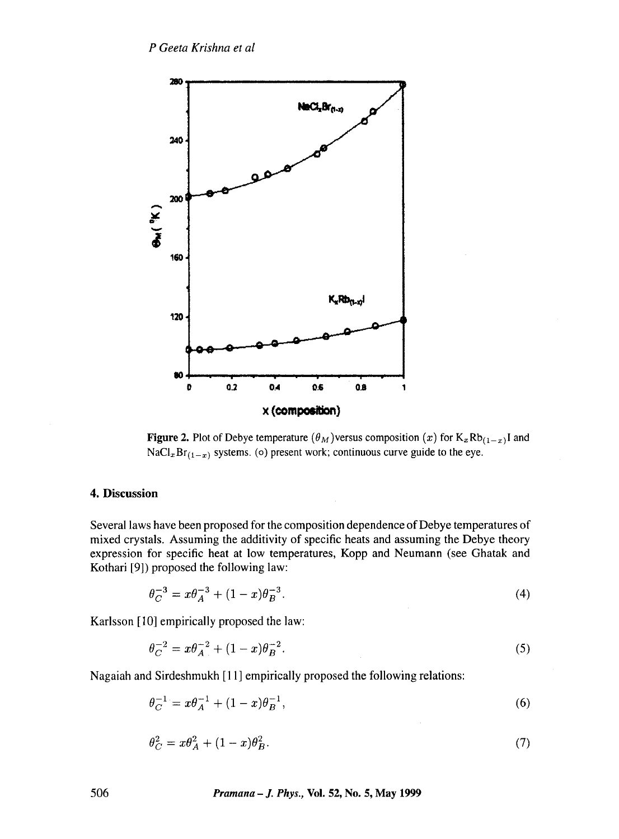

**Figure 2.** Plot of Debye temperature  $(\theta_M)$  versus composition  $(x)$  for  $K_x Rb_{(1-x)}$ I and  $\text{NaCl}_x\text{Br}_{(1-x)}$  systems. (o) present work; continuous curve guide to the eye.

# **4. Discussion**

Several laws have been proposed for the composition dependence of Debye temperatures of mixed crystals. Assuming the additivity of specific heats and assuming the Debye theory expression for specific heat at low temperatures, Kopp and Neumann (see Ghatak and Kothari [9]) proposed the following law:

$$
\theta_C^{-3} = x\theta_A^{-3} + (1-x)\theta_B^{-3}.\tag{4}
$$

Karlsson [10] empirically proposed the law:

$$
\theta_C^{-2} = x\theta_A^{-2} + (1-x)\theta_B^{-2}.\tag{5}
$$

Nagaiah and Sirdeshmukh [11] empirically proposed the following relations:

$$
\theta_C^{-1} = x\theta_A^{-1} + (1-x)\theta_B^{-1},\tag{6}
$$

$$
\theta_C^2 = x\theta_A^2 + (1-x)\theta_B^2. \tag{7}
$$

506 *Pramana - J. Phys.,* Vol. 52, No. 5, May 1999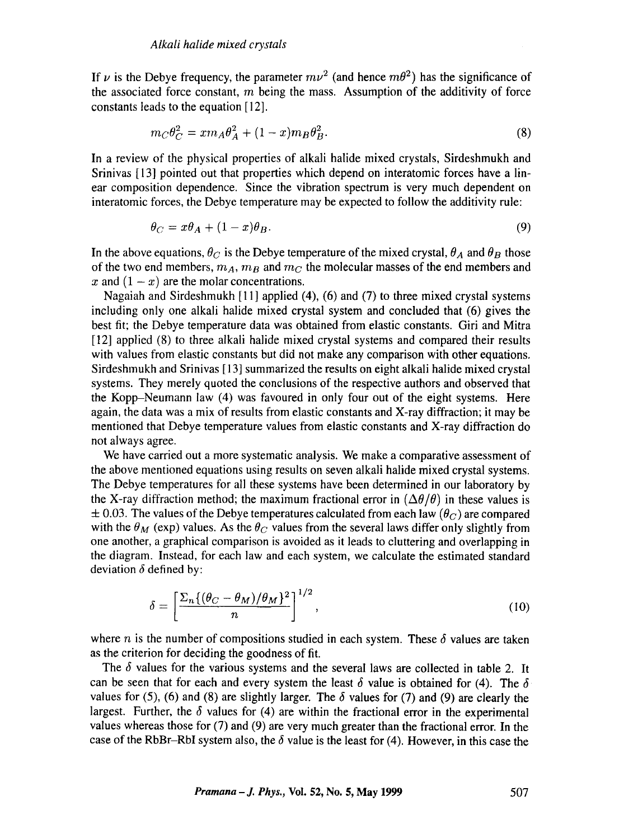If  $\nu$  is the Debye frequency, the parameter  $mv^2$  (and hence  $m\theta^2$ ) has the significance of the associated force constant,  $m$  being the mass. Assumption of the additivity of force constants leads to the equation [12].

$$
m_C \theta_C^2 = x m_A \theta_A^2 + (1 - x) m_B \theta_B^2. \tag{8}
$$

In a review of the physical properties of alkali halide mixed crystals, Sirdeshmukh and Srinivas [13] pointed out that properties which depend on interatomic forces have a linear composition dependence. Since the vibration spectrum is very much dependent on interatomic forces, the Debye temperature may be expected to follow the additivity rule:

$$
\theta_C = x\theta_A + (1-x)\theta_B. \tag{9}
$$

In the above equations,  $\theta_C$  is the Debye temperature of the mixed crystal,  $\theta_A$  and  $\theta_B$  those of the two end members,  $m_A$ ,  $m_B$  and  $m_C$  the molecular masses of the end members and x and  $(1 - x)$  are the molar concentrations.

Nagaiah and Sirdeshmukh [11] applied (4), (6) and (7) to three mixed crystal systems including only one alkali halide mixed crystal system and concluded that (6) gives the best fit; the Debye temperature data was obtained from elastic constants. Giri and Mitra [12] applied (8) to three alkali halide mixed crystal systems and compared their results with values from elastic constants but did not make any comparison with other equations. Sirdeshmukh and Srinivas [ 13] summarized the results on eight alkali halide mixed crystal systems. They merely quoted the conclusions of the respective authors and observed that the Kopp-Neumann law (4) was favoured in only four out of the eight systems. Here again, the data was a mix of results from elastic constants and X-ray diffraction; it may be mentioned that Debye temperature values from elastic constants and X-ray diffraction do not always agree.

We have carried out a more systematic analysis. We make a comparative assessment of the above mentioned equations using results on seven alkali halide mixed crystal systems. The Debye temperatures for all these systems have been determined in our laboratory by the X-ray diffraction method; the maximum fractional error in  $(\Delta\theta/\theta)$  in these values is  $\pm$  0.03. The values of the Debye temperatures calculated from each law  $(\theta_C)$  are compared with the  $\theta_M$  (exp) values. As the  $\theta_C$  values from the several laws differ only slightly from one another, a graphical comparison is avoided as it leads to cluttering and overlapping in the diagram. Instead, for each law and each system, we calculate the estimated standard deviation  $\delta$  defined by:

$$
\delta = \left[\frac{\Sigma_n\{(\theta_C - \theta_M)/\theta_M\}^2}{n}\right]^{1/2},\tag{10}
$$

where n is the number of compositions studied in each system. These  $\delta$  values are taken as the criterion for deciding the goodness of fit.

The  $\delta$  values for the various systems and the several laws are collected in table 2. It can be seen that for each and every system the least  $\delta$  value is obtained for (4). The  $\delta$ values for (5), (6) and (8) are slightly larger. The  $\delta$  values for (7) and (9) are clearly the largest. Further, the  $\delta$  values for (4) are within the fractional error in the experimental values whereas those for (7) and (9) are very much greater than the fractional error. In the case of the RbBr-RbI system also, the  $\delta$  value is the least for (4). However, in this case the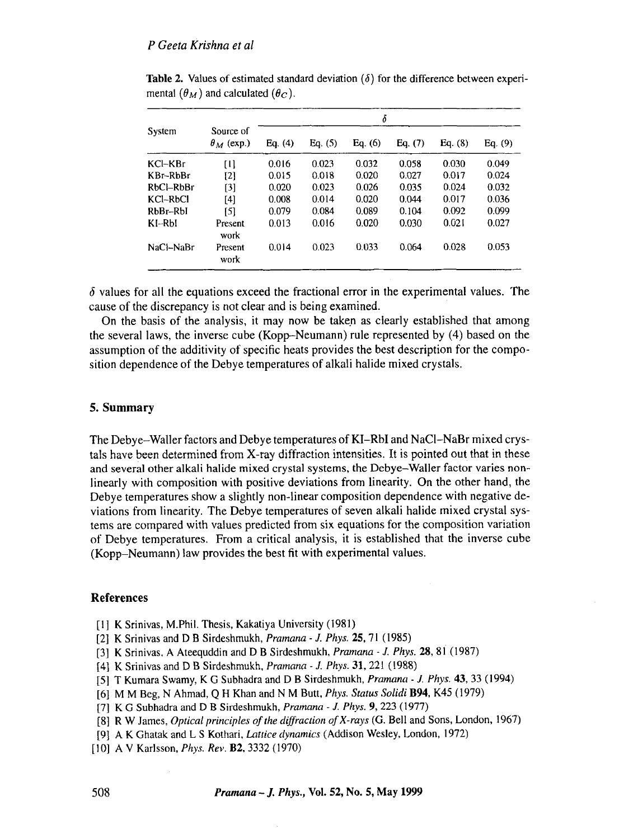| System     | Source of<br>$\theta_M$ (exp.) | δ       |         |         |         |         |         |
|------------|--------------------------------|---------|---------|---------|---------|---------|---------|
|            |                                | Eq. (4) | Eq. (5) | Eq. (6) | Eq. (7) | Eq. (8) | Eq. (9) |
| KCl-KBr    | [1]                            | 0.016   | 0.023   | 0.032   | 0.058   | 0.030   | 0.049   |
| $KBr-RhBr$ | [2]                            | 0.015   | 0.018   | 0.020   | 0.027   | 0.017   | 0.024   |
| RbCl-RbBr  | [3]                            | 0.020   | 0.023   | 0.026   | 0.035   | 0.024   | 0.032   |
| $KCl-RbCl$ | [4]                            | 0.008   | 0.014   | 0.020   | 0.044   | 0.017   | 0.036   |
| RbBr-RbI   | [5]                            | 0.079   | 0.084   | 0.089   | 0.104   | 0.092   | 0.099   |
| $KI-RbI$   | Present<br>work                | 0.013   | 0.016   | 0.020   | 0.030   | 0.021   | 0.027   |
| NaCl-NaBr  | Present<br>work                | 0.014   | 0.023   | 0.033   | 0.064   | 0.028   | 0.053   |

Table 2. Values of estimated standard deviation  $(\delta)$  for the difference between experimental  $(\theta_M)$  and calculated  $(\theta_C)$ .

 $\delta$  values for all the equations exceed the fractional error in the experimental values. The cause of the discrepancy is not clear and is being examined.

On the basis of the analysis, it may now be taken as clearly established that among the several laws, the inverse cube (Kopp-Neumann) rule represented by (4) based on the assumption of the additivity of specific heats provides the best description for the composition dependence of the Debye temperatures of alkali halide mixed crystals.

# 5. **Summary**

The Debye-Waller factors and Debye temperatures of KI-RbI and NaC1-NaBr mixed crystals have been determined from X-ray diffraction intensities. It is pointed out that in these and several other alkali halide mixed crystal systems, the Debye-Waller factor varies nonlinearly with composition with positive deviations from linearity. On the other hand, the Debye temperatures show a slightly non-linear composition dependence with negative deviations from linearity. The Debye temperatures of seven alkali halide mixed crystal systems are compared with values predicted from six equations for the composition variation of Debye temperatures. From a critical analysis, it is established that the inverse cube (Kopp-Neumann) law provides the best fit with experimental values.

# **References**

- [1] K Srinivas, M.Phil. Thesis, Kakatiya University (1981)
- [2] K Srinivas and D B Sirdeshmukh, *Pramana J. Phys.* 25, 71 (1985)
- [3] K Srinivas, A Ateequddin and D B Sirdeshmukh, *Pramana- J. Phys.* 28, 81 (1987)
- [4] K Srinivas and D B Sirdeshmukh, *Pramana J. Phys.* 31,221 (1988)
- [5] T Kumara Swamy, K G Subhadra and D B Sirdeshmukh, *Pramana J. Phys.* 43, 33 (1994)
- [6] M M Beg, N Ahmad, Q H Khan and N M Butt, *Phys. Status Solidi* B94, K45 (1979)
- [7] K G Subhadra and D B Sirdeshmukh, *Pramana J. Phys.* 9, 223 (1977)
- [8] R W James, *Optical principles of the diffraction of X-rays* (G. Bell and Sons, London, 1967)
- [9] A K Ghatak and L S Kothari, *Lattice dynamics* (Addison Wesley, London, 1972)
- [10] A V Karlsson, *Phys. Rev.* B2, 3332 (1970)